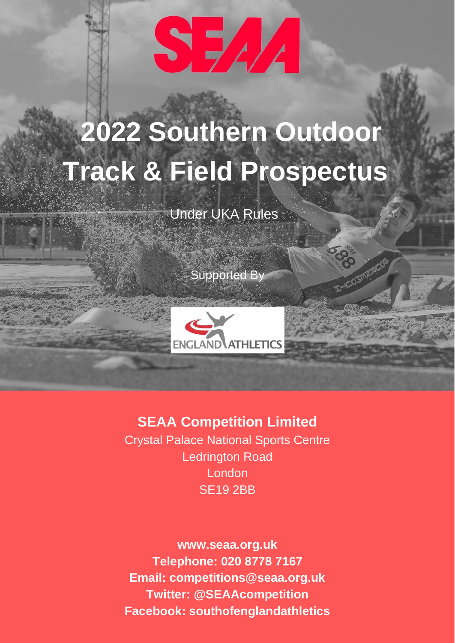

# **2022 Southern Outdoor Track & Field Prospectus**

Under UKA Rules

Supported By



### **SEAA Competition Limited**

Crystal Palace National Sports Centre Ledrington Road London SE19 2BB

**www.seaa.org.uk Telephone: 020 8778 7167 Email: competitions@seaa.org.uk Twitter: @SEAAcompetition Facebook: southofenglandathletics**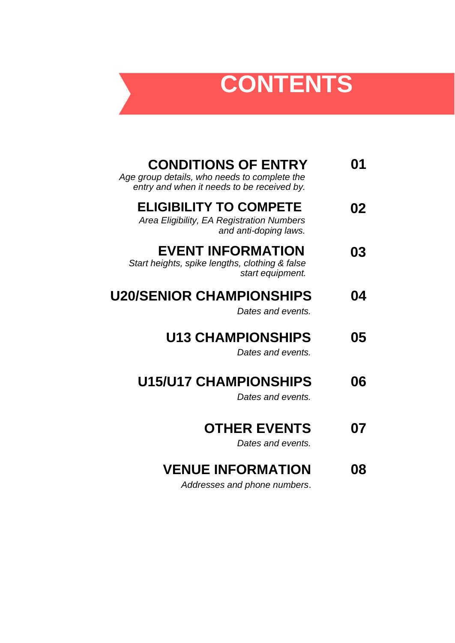# **CONTENTS**

| <b>CONDITIONS OF ENTRY</b><br>Age group details, who needs to complete the<br>entry and when it needs to be received by. | 01 |
|--------------------------------------------------------------------------------------------------------------------------|----|
| <b>ELIGIBILITY TO COMPETE</b><br>Area Eligibility, EA Registration Numbers<br>and anti-doping laws.                      | 02 |
| <b>EVENT INFORMATION</b><br>Start heights, spike lengths, clothing & false<br>start equipment.                           | 03 |
| <b>U20/SENIOR CHAMPIONSHIPS</b><br>Dates and events.                                                                     | 04 |
| <b>U13 CHAMPIONSHIPS</b><br>Dates and events.                                                                            | 05 |
| <b>U15/U17 CHAMPIONSHIPS</b><br>Dates and events.                                                                        | 06 |
| <b>OTHER EVENTS</b><br>Dates and events.                                                                                 | 07 |
| <b>VENUE INFORMATION</b><br>Addresses and phone numbers.                                                                 | 08 |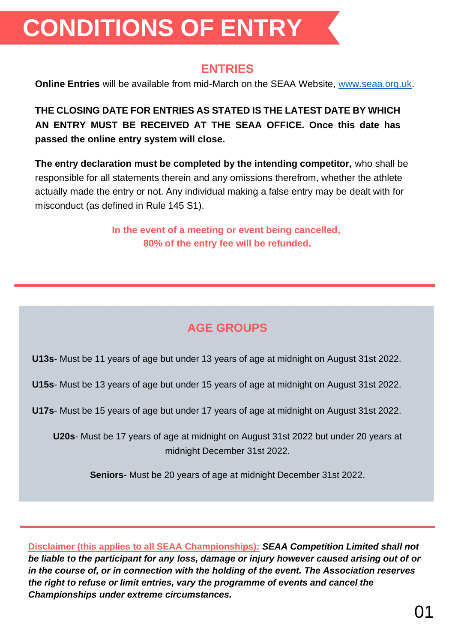# **CONDITIONS OF ENTRY**

#### **ENTRIES**

**Online Entries** will be available from mid-March on the SEAA Website, [www.seaa.org.uk.](about:blank)

**THE CLOSING DATE FOR ENTRIES AS STATED IS THE LATEST DATE BY WHICH AN ENTRY MUST BE RECEIVED AT THE SEAA OFFICE. Once this date has passed the online entry system will close.**

**The entry declaration must be completed by the intending competitor,** who shall be responsible for all statements therein and any omissions therefrom, whether the athlete actually made the entry or not. Any individual making a false entry may be dealt with for misconduct (as defined in Rule 145 S1).

> **In the event of a meeting or event being cancelled, 80% of the entry fee will be refunded.**

## **AGE GROUPS**

**U13s**- Must be 11 years of age but under 13 years of age at midnight on August 31st 2022.

**U15s**- Must be 13 years of age but under 15 years of age at midnight on August 31st 2022.

**U17s**- Must be 15 years of age but under 17 years of age at midnight on August 31st 2022.

**U20s**- Must be 17 years of age at midnight on August 31st 2022 but under 20 years at midnight December 31st 2022.

**Seniors**- Must be 20 years of age at midnight December 31st 2022.

**Disclaimer (this applies to all SEAA Championships):** *SEAA Competition Limited shall not be liable to the participant for any loss, damage or injury however caused arising out of or in the course of, or in connection with the holding of the event. The Association reserves the right to refuse or limit entries, vary the programme of events and cancel the Championships under extreme circumstances.*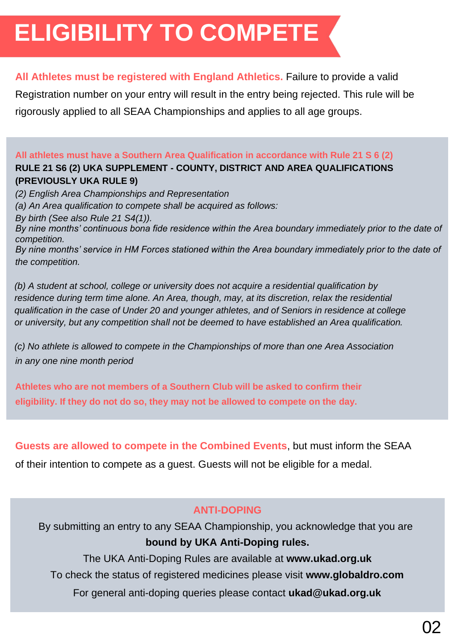# **ELIGIBILITY TO COMPETE**

#### **All Athletes must be registered with England Athletics.** Failure to provide a valid

Registration number on your entry will result in the entry being rejected. This rule will be rigorously applied to all SEAA Championships and applies to all age groups.

#### **All athletes must have a Southern Area Qualification in accordance with Rule 21 S 6 (2) RULE 21 S6 (2) UKA SUPPLEMENT - COUNTY, DISTRICT AND AREA QUALIFICATIONS (PREVIOUSLY UKA RULE 9)**

*(2) English Area Championships and Representation*

*(a) An Area qualification to compete shall be acquired as follows:*

*By birth (See also Rule 21 S4(1)).*

*By nine months' continuous bona fide residence within the Area boundary immediately prior to the date of competition.*

*By nine months' service in HM Forces stationed within the Area boundary immediately prior to the date of the competition.*

*(b) A student at school, college or university does not acquire a residential qualification by residence during term time alone. An Area, though, may, at its discretion, relax the residential qualification in the case of Under 20 and younger athletes, and of Seniors in residence at college or university, but any competition shall not be deemed to have established an Area qualification.*

*(c) No athlete is allowed to compete in the Championships of more than one Area Association in any one nine month period*

**Athletes who are not members of a Southern Club will be asked to confirm their eligibility. If they do not do so, they may not be allowed to compete on the day.**

**Guests are allowed to compete in the Combined Events**, but must inform the SEAA

of their intention to compete as a guest. Guests will not be eligible for a medal.

#### **ANTI-DOPING**

By submitting an entry to any SEAA Championship, you acknowledge that you are **bound by UKA Anti-Doping rules.**

The UKA Anti-Doping Rules are available at **www.ukad.org.uk** To check the status of registered medicines please visit **www.globaldro.com** For general anti-doping queries please contact **ukad@ukad.org.uk**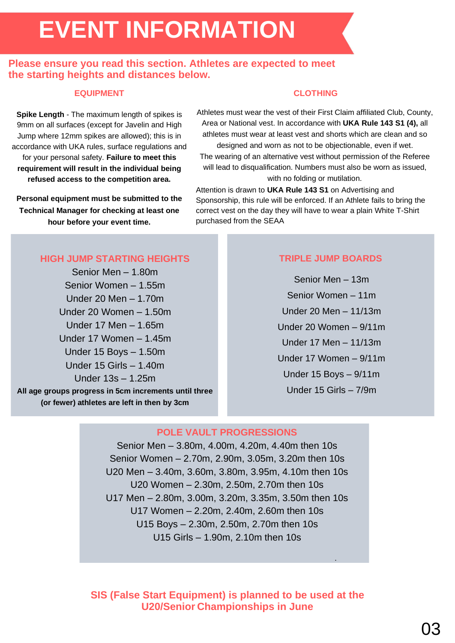# **EVENT INFORMATION**

#### **Please ensure you read this section. Athletes are expected to meet the starting heights and distances below.**

#### **EQUIPMENT**

**Spike Length** - The maximum length of spikes is 9mm on all surfaces (except for Javelin and High Jump where 12mm spikes are allowed); this is in accordance with UKA rules, surface regulations and for your personal safety. **Failure to meet this requirement will result in the individual being refused access to the competition area.**

**Personal equipment must be submitted to the Technical Manager for checking at least one hour before your event time.**

#### **CLOTHING**

Athletes must wear the vest of their First Claim affiliated Club, County, Area or National vest. In accordance with **UKA Rule 143 S1 (4),** all athletes must wear at least vest and shorts which are clean and so designed and worn as not to be objectionable, even if wet. The wearing of an alternative vest without permission of the Referee will lead to disqualification. Numbers must also be worn as issued, with no folding or mutilation.

Attention is drawn to **UKA Rule 143 S1** on Advertising and Sponsorship, this rule will be enforced. If an Athlete fails to bring the correct vest on the day they will have to wear a plain White T-Shirt purchased from the SEAA

#### **HIGH JUMP STARTING HEIGHTS**

Senior Men – 1.80m Senior Women – 1.55m Under 20 Men – 1.70m Under 20 Women – 1.50m Under 17 Men – 1.65m Under 17 Women – 1.45m Under 15 Boys – 1.50m Under 15 Girls – 1.40m Under 13s – 1.25m **All age groups progress in 5cm increments until three (or fewer) athletes are left in then by 3cm**

#### **TRIPLE JUMP BOARDS**

Senior Men – 13m Senior Women – 11m Under 20 Men – 11/13m Under 20 Women – 9/11m Under 17 Men – 11/13m Under 17 Women – 9/11m Under 15 Boys – 9/11m Under 15 Girls – 7/9m

.

#### **POLE VAULT PROGRESSIONS**

Senior Men – 3.80m, 4.00m, 4.20m, 4.40m then 10s Senior Women – 2.70m, 2.90m, 3.05m, 3.20m then 10s U20 Men – 3.40m, 3.60m, 3.80m, 3.95m, 4.10m then 10s U20 Women – 2.30m, 2.50m, 2.70m then 10s U17 Men – 2.80m, 3.00m, 3.20m, 3.35m, 3.50m then 10s U17 Women – 2.20m, 2.40m, 2.60m then 10s U15 Boys – 2.30m, 2.50m, 2.70m then 10s U15 Girls – 1.90m, 2.10m then 10s

**SIS (False Start Equipment) is planned to be used at the U20/Senior Championships in June**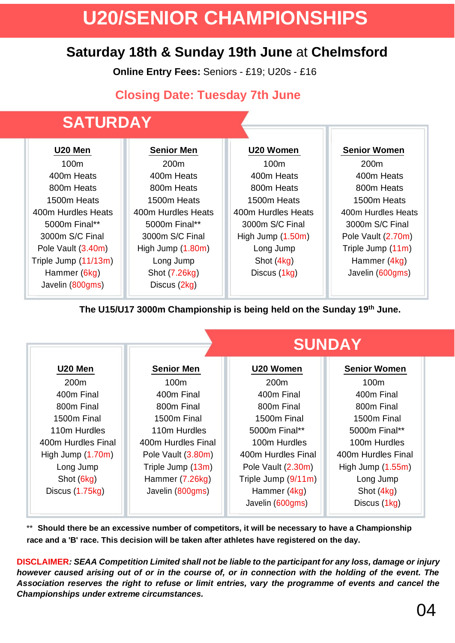# **U20/SENIOR CHAMPIONSHIPS**

## **Saturday 18th & Sunday 19th June** at **Chelmsford**

**Online Entry Fees:** Seniors - £19; U20s - £16

### **Closing Date: Tuesday 7th June**

## **SATURDAY**

| U20 Men              | <b>Senior Men</b>  | U20 Women          | <b>Senior Women</b> |
|----------------------|--------------------|--------------------|---------------------|
| 100m                 | 200 <sub>m</sub>   | 100m               | 200 <sub>m</sub>    |
| 400m Heats           | 400m Heats         | 400m Heats         | 400m Heats          |
| 800m Heats           | 800m Heats         | 800m Heats         | 800m Heats          |
| 1500m Heats          | 1500m Heats        | 1500m Heats        | 1500m Heats         |
| 400m Hurdles Heats   | 400m Hurdles Heats | 400m Hurdles Heats | 400m Hurdles Heats  |
| 5000m Final**        | 5000m Final**      | 3000m S/C Final    | 3000m S/C Final     |
| 3000m S/C Final      | 3000m S/C Final    | High Jump (1.50m)  | Pole Vault (2.70m)  |
| Pole Vault (3.40m)   | High Jump (1.80m)  | Long Jump          | Triple Jump (11m)   |
| Triple Jump (11/13m) | Long Jump          | Shot (4kg)         | Hammer (4kg)        |
| Hammer (6kg)         | Shot (7.26kg)      | Discus (1kg)       | Javelin (600gms)    |
| Javelin (800gms)     | Discus (2kg)       |                    |                     |

**The U15/U17 3000m Championship is being held on the Sunday 19th June.**

|                     | <b>SUNDAY</b>      |                     |                     |
|---------------------|--------------------|---------------------|---------------------|
| U20 Men             | <b>Senior Men</b>  | U20 Women           | <b>Senior Women</b> |
| 200 <sub>m</sub>    | 100 <sub>m</sub>   | 200 <sub>m</sub>    | 100m                |
| 400m Final          | 400m Final         | 400m Final          | 400m Final          |
| 800m Final          | 800m Final         | 800m Final          | 800m Final          |
| 1500m Final         | 1500m Final        | 1500m Final         | 1500m Final         |
| 110m Hurdles        | 110m Hurdles       | 5000m Final**       | 5000m Final**       |
| 400m Hurdles Final  | 400m Hurdles Final | 100m Hurdles        | 100m Hurdles        |
| High Jump $(1.70m)$ | Pole Vault (3.80m) | 400m Hurdles Final  | 400m Hurdles Final  |
| Long Jump           | Triple Jump (13m)  | Pole Vault (2.30m)  | High Jump $(1.55m)$ |
| Shot (6kg)          | Hammer (7.26kg)    | Triple Jump (9/11m) | Long Jump           |
| Discus (1.75kg)     | Javelin (800gms)   | Hammer (4kg)        | Shot (4kg)          |
|                     |                    | Javelin (600gms)    | Discus (1kg)        |

\*\* **Should there be an excessive number of competitors, it will be necessary to have a Championship race and a 'B' race. This decision will be taken after athletes have registered on the day.**

**DISCLAIMER***: SEAA Competition Limited shall not be liable to the participant for any loss, damage or injury however caused arising out of or in the course of, or in connection with the holding of the event. The Association reserves the right to refuse or limit entries, vary the programme of events and cancel the Championships under extreme circumstances.*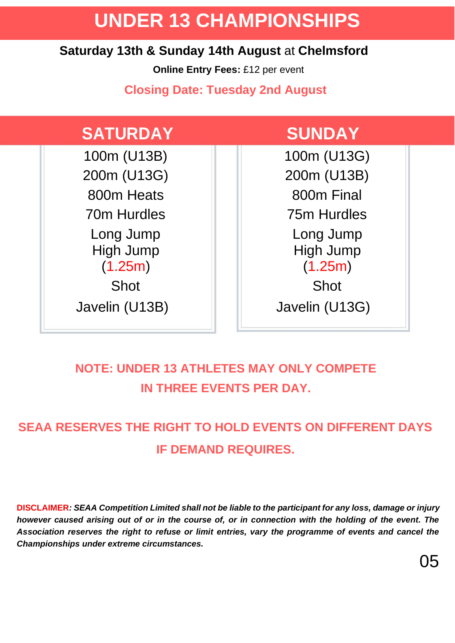# **UNDER 13 CHAMPIONSHIPS**

#### **Saturday 13th & Sunday 14th August** at **Chelmsford**

**Online Entry Fees:** £12 per event

**Closing Date: Tuesday 2nd August**

## **SATURDAY SUNDAY**

100m (U13B) | | | 100m (U13G) 200m (U13G) 200m (U13B) 800m Heats  $\parallel$  | 800m Final 70m Hurdles 75m Hurdles Long Jump  $\|\cdot\|$  Long Jump High Jump (1.25m) Shot **Shot** Shot

High Jump (1.25m) Javelin (U13B) Javelin (U13G)

## **NOTE: UNDER 13 ATHLETES MAY ONLY COMPETE IN THREE EVENTS PER DAY.**

## **SEAA RESERVES THE RIGHT TO HOLD EVENTS ON DIFFERENT DAYS IF DEMAND REQUIRES.**

**DISCLAIMER***: SEAA Competition Limited shall not be liable to the participant for any loss, damage or injury however caused arising out of or in the course of, or in connection with the holding of the event. The Association reserves the right to refuse or limit entries, vary the programme of events and cancel the Championships under extreme circumstances.*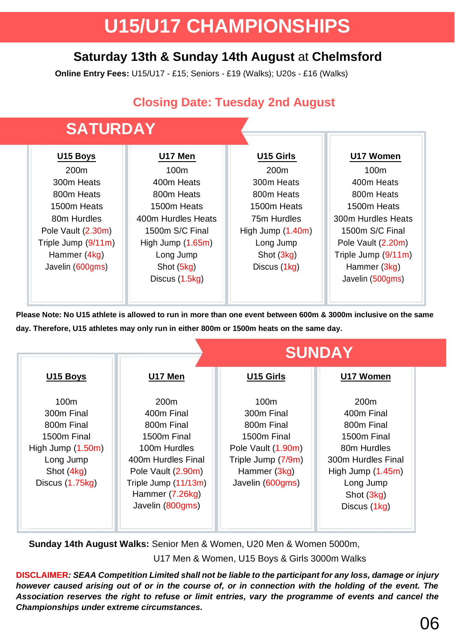# **U15/U17 CHAMPIONSHIPS**

### **Saturday 13th & Sunday 14th August** at **Chelmsford**

**Online Entry Fees:** U15/U17 - £15; Seniors - £19 (Walks); U20s - £16 (Walks)

### **Closing Date: Tuesday 2nd August**



**Please Note: No U15 athlete is allowed to run in more than one event between 600m & 3000m inclusive on the same day. Therefore, U15 athletes may only run in either 800m or 1500m heats on the same day.**

|                                                                                                                                |                                                                                                                                                                                        | <b>SUNDAY</b>                                                                                                                               |                                                                                                                                                                    |  |
|--------------------------------------------------------------------------------------------------------------------------------|----------------------------------------------------------------------------------------------------------------------------------------------------------------------------------------|---------------------------------------------------------------------------------------------------------------------------------------------|--------------------------------------------------------------------------------------------------------------------------------------------------------------------|--|
| U15 Boys                                                                                                                       | U17 Men                                                                                                                                                                                | U15 Girls                                                                                                                                   | U17 Women                                                                                                                                                          |  |
| 100 <sub>m</sub><br>300m Final<br>800m Final<br>1500m Final<br>High Jump (1.50m)<br>Long Jump<br>Shot (4kg)<br>Discus (1.75kg) | 200 <sub>m</sub><br>400m Final<br>800m Final<br>1500m Final<br>100m Hurdles<br>400m Hurdles Final<br>Pole Vault (2.90m)<br>Triple Jump (11/13m)<br>Hammer (7.26kg)<br>Javelin (800gms) | 100 <sub>m</sub><br>300m Final<br>800m Final<br>1500m Final<br>Pole Vault (1.90m)<br>Triple Jump (7/9m)<br>Hammer (3kg)<br>Javelin (600gms) | 200 <sub>m</sub><br>400m Final<br>800m Final<br>1500m Final<br>80m Hurdles<br>300m Hurdles Final<br>High Jump $(1.45m)$<br>Long Jump<br>Shot (3kg)<br>Discus (1kg) |  |

**Sunday 14th August Walks:** Senior Men & Women, U20 Men & Women 5000m, U17 Men & Women, U15 Boys & Girls 3000m Walks

**DISCLAIMER***: SEAA Competition Limited shall not be liable to the participant for any loss, damage or injury however caused arising out of or in the course of, or in connection with the holding of the event. The Association reserves the right to refuse or limit entries, vary the programme of events and cancel the Championships under extreme circumstances.*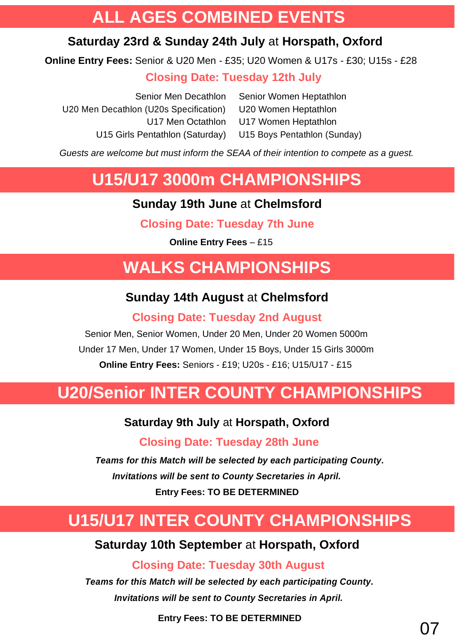## **ALL AGES COMBINED EVENTS**

### **Saturday 23rd & Sunday 24th July** at **Horspath, Oxford**

**Online Entry Fees:** Senior & U20 Men - £35; U20 Women & U17s - £30; U15s - £28

#### **Closing Date: Tuesday 12th July**

| Senior Women Heptathlon      |
|------------------------------|
| U20 Women Heptathlon         |
| U17 Women Heptathlon         |
| U15 Boys Pentathlon (Sunday) |
|                              |

*Guests are welcome but must inform the SEAA of their intention to compete as a guest.*

## **U15/U17 3000m CHAMPIONSHIPS**

#### **Sunday 19th June** at **Chelmsford**

**Closing Date: Tuesday 7th June**

**Online Entry Fees** – £15

# **WALKS CHAMPIONSHIPS**

### **Sunday 14th August** at **Chelmsford**

#### **Closing Date: Tuesday 2nd August**

Senior Men, Senior Women, Under 20 Men, Under 20 Women 5000m Under 17 Men, Under 17 Women, Under 15 Boys, Under 15 Girls 3000m **Online Entry Fees:** Seniors - £19; U20s - £16; U15/U17 - £15

# **U20/Senior INTER COUNTY CHAMPIONSHIPS**

#### **Saturday 9th July** at **Horspath, Oxford**

 **Closing Date: Tuesday 28th June**

*Teams for this Match will be selected by each participating County. Invitations will be sent to County Secretaries in April.* **Entry Fees: TO BE DETERMINED**

# **U15/U17 INTER COUNTY CHAMPIONSHIPS**

#### **Saturday 10th September** at **Horspath, Oxford**

#### **Closing Date: Tuesday 30th August**

*Teams for this Match will be selected by each participating County. Invitations will be sent to County Secretaries in April.*

**Entry Fees: TO BE DETERMINED**